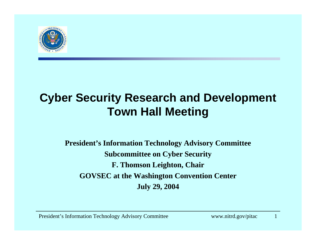

#### **Cyber Security Research and Development Town Hall Meeting**

**President's Information Technology Advisory Committee Subcommittee on Cyber Security F. Thomson Leighton, Chair GOVSEC at the Washington Convention Center July 29, 2004**

President's Information Technology Advisory Committee www.nitrd.gov/pitac 1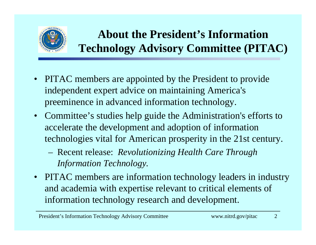

#### **About the President's Information Technology Advisory Committee (PITAC)**

- PITAC members are appointed by the President to provide independent expert advice on maintaining America's preeminence in advanced information technology.
- Committee's studies help guide the Administration's efforts to accelerate the development and adoption of information technologies vital for American prosperity in the 21st century.
	- Recent release: *Revolutionizing Health Care Through Information Technology.*
- • PITAC members are information technology leaders in industry and academia with expertise relevant to critical elements of information technology research and development.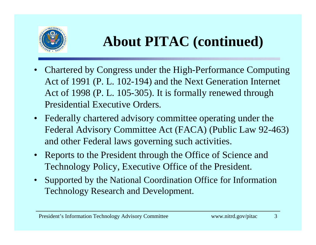

## **About PITAC (continued)**

- • Chartered by Congress under the High-Performance Computing Act of 1991 (P. L. 102-194) and the Next Generation Internet Act of 1998 (P. L. 105-305). It is formally renewed through Presidential Executive Orders.
- • Federally chartered advisory committee operating under the Federal Advisory Committee Act (FACA) (Public Law 92-463) and other Federal laws governing such activities.
- Reports to the President through the Office of Science and Technology Policy, Executive Office of the President.
- • Supported by the National Coordination Office for Information Technology Research and Development.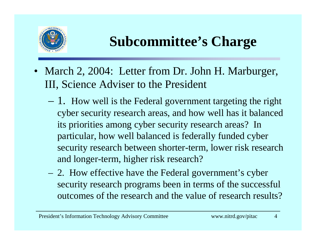

## **Subcommittee's Charge**

- March 2, 2004: Letter from Dr. John H. Marburger, III, Science Adviser to the President
	- 1. How well is the Federal government targeting the right cyber security research areas, and how well has it balanced its priorities among cyber security research areas? In particular, how well balanced is federally funded cyber security research between shorter-term, lower risk research and longer-term, higher risk research?
	- 2. How effective have the Federal government's cyber security research programs been in terms of the successful outcomes of the research and the value of research results?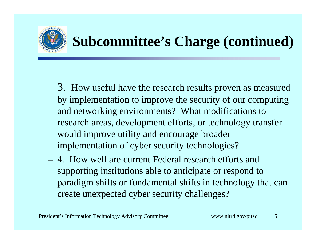

# **Subcommittee's Charge (continued)**

- 3. How useful have the research results proven as measured by implementation to improve the security of our computing and networking environments? What modifications to research areas, development efforts, or technology transfer would improve utility and encourage broader implementation of cyber security technologies?
- 4. How well are current Federal research efforts and supporting institutions able to anticipate or respond to paradigm shifts or fundamental shifts in technology that can create unexpected cyber security challenges?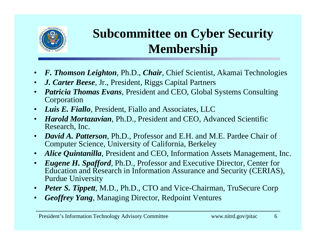

#### **Subcommittee on Cyber Security Membership**

- •*F. Thomson Leighton*, Ph.D., *Chair*, Chief Scientist, Akamai Technologies
- •*J. Carter Beese*, Jr., President, Riggs Capital Partners
- • *Patricia Thomas Evans*, President and CEO, Global Systems Consulting Corporation
- •*Luis E. Fiallo*, President, Fiallo and Associates, LLC
- $\bullet$  *Harold Mortazavian*, Ph.D., President and CEO, Advanced Scientific Research, Inc.
- $\bullet$  *David A. Patterson*, Ph.D., Professor and E.H. and M.E. Pardee Chair of Computer Science, University of California, Berkeley
- •*Alice Quintanilla*, President and CEO, Information Assets Management, Inc.
- • *Eugene H. Spafford*, Ph.D., Professor and Executive Director, Center for Education and Research in Information Assurance and Security (CERIAS), Purdue University
- •*Peter S. Tippett, M.D., Ph.D., CTO and Vice-Chairman, TruSecure Corp*
- •*Geoffrey Yang*, Managing Director, Redpoint Ventures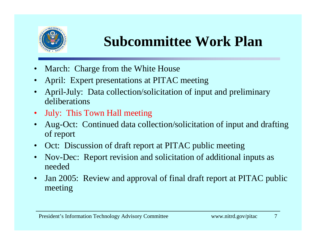

### **Subcommittee Work Plan**

- •March: Charge from the White House
- •April: Expert presentations at PITAC meeting
- • April-July: Data collection/solicitation of input and preliminary deliberations
- $\bullet$ July: This Town Hall meeting
- • Aug-Oct: Continued data collection/solicitation of input and drafting of report
- •Oct: Discussion of draft report at PITAC public meeting
- • Nov-Dec: Report revision and solicitation of additional inputs as needed
- $\bullet$  Jan 2005: Review and approval of final draft report at PITAC public meeting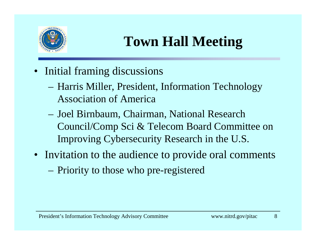

## **Town Hall Meeting**

- Initial framing discussions
	- Harris Miller, President, Information Technology Association of America
	- Joel Birnbaum, Chairman, National Research Council/Comp Sci & Telecom Board Committee on Improving Cybersecurity Research in the U.S.
- Invitation to the audience to provide oral comments
	- Priority to those who pre-registered